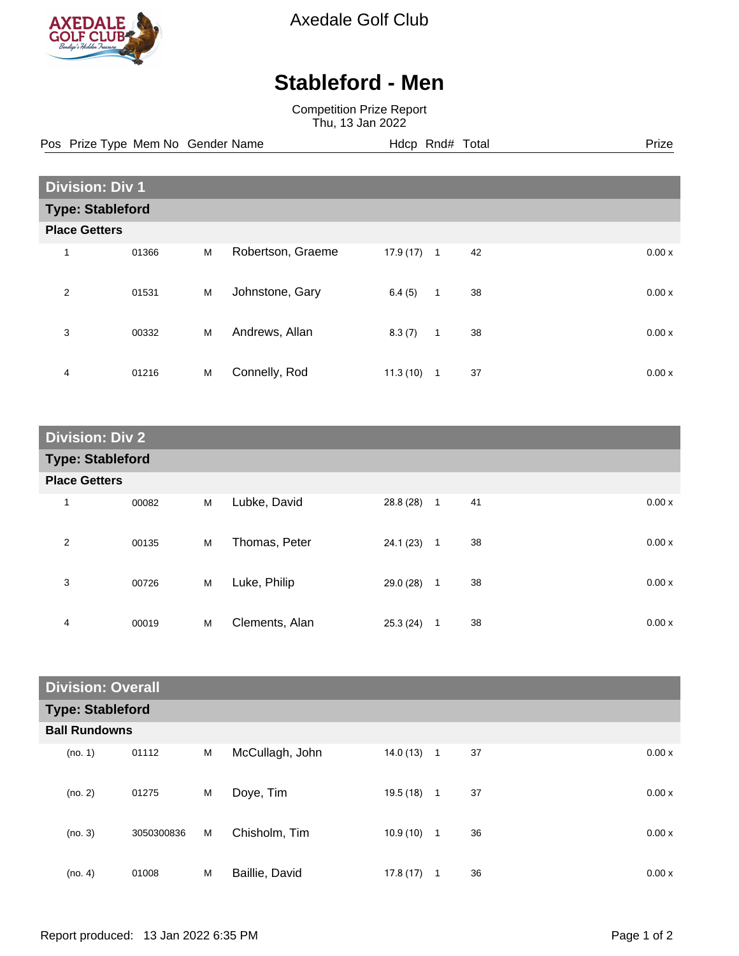

Axedale Golf Club

## **Stableford - Men**

Competition Prize Report Thu, 13 Jan 2022

Pos Prize Type Mem No Gender Name **Hdcp Rnd# Total** Prize Prize

|                         | <b>Division: Div 1</b> |   |                   |           |                |    |  |       |  |
|-------------------------|------------------------|---|-------------------|-----------|----------------|----|--|-------|--|
| <b>Type: Stableford</b> |                        |   |                   |           |                |    |  |       |  |
| <b>Place Getters</b>    |                        |   |                   |           |                |    |  |       |  |
| 1                       | 01366                  | M | Robertson, Graeme | 17.9 (17) | $\overline{1}$ | 42 |  | 0.00x |  |
| 2                       | 01531                  | M | Johnstone, Gary   | 6.4(5)    | $\mathbf{1}$   | 38 |  | 0.00x |  |
| 3                       | 00332                  | M | Andrews, Allan    | 8.3(7)    | 1              | 38 |  | 0.00x |  |
| 4                       | 01216                  | M | Connelly, Rod     | 11.3(10)  | $\mathbf{1}$   | 37 |  | 0.00x |  |

| <b>Division: Div 2</b>  |       |   |                |             |                |    |  |       |
|-------------------------|-------|---|----------------|-------------|----------------|----|--|-------|
| <b>Type: Stableford</b> |       |   |                |             |                |    |  |       |
| <b>Place Getters</b>    |       |   |                |             |                |    |  |       |
| 1                       | 00082 | M | Lubke, David   | 28.8 (28) 1 |                | 41 |  | 0.00x |
| 2                       | 00135 | M | Thomas, Peter  | 24.1 (23)   | $\overline{1}$ | 38 |  | 0.00x |
| 3                       | 00726 | M | Luke, Philip   | 29.0 (28)   | $\mathbf{1}$   | 38 |  | 0.00x |
| 4                       | 00019 | M | Clements, Alan | 25.3(24)    | 1              | 38 |  | 0.00x |

| <b>Division: Overall</b> |                         |            |   |                 |           |                |    |       |
|--------------------------|-------------------------|------------|---|-----------------|-----------|----------------|----|-------|
|                          | <b>Type: Stableford</b> |            |   |                 |           |                |    |       |
|                          | <b>Ball Rundowns</b>    |            |   |                 |           |                |    |       |
|                          | (no. 1)                 | 01112      | M | McCullagh, John | 14.0(13)  | $\overline{1}$ | 37 | 0.00x |
|                          | (no. 2)                 | 01275      | M | Doye, Tim       | 19.5 (18) | $\mathbf{1}$   | 37 | 0.00x |
|                          | (no. 3)                 | 3050300836 | M | Chisholm, Tim   | 10.9 (10) | $\overline{1}$ | 36 | 0.00x |
|                          | (no. 4)                 | 01008      | M | Baillie, David  | 17.8(17)  | 1              | 36 | 0.00x |